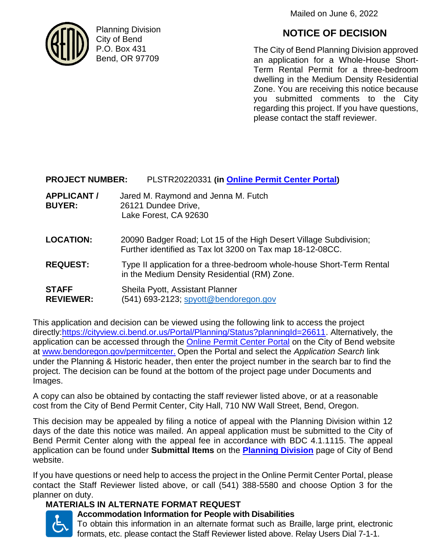Mailed on June 6, 2022



Planning Division City of Bend P.O. Box 431 Bend, OR 97709

# **NOTICE OF DECISION**

The City of Bend Planning Division approved an application for a Whole-House Short-Term Rental Permit for a three-bedroom dwelling in the Medium Density Residential Zone. You are receiving this notice because you submitted comments to the City regarding this project. If you have questions, please contact the staff reviewer.

## **PROJECT NUMBER:** PLSTR20220331 **(in [Online Permit Center Portal](https://cityview.ci.bend.or.us/Portal/))**

- **APPLICANT /** Jared M. Raymond and Jenna M. Futch **BUYER:** 26121 Dundee Drive, Lake Forest, CA 92630
- **LOCATION:** 20090 Badger Road; Lot 15 of the High Desert Village Subdivision; Further identified as Tax lot 3200 on Tax map 18-12-08CC.
- **REQUEST:** Type II application for a three-bedroom whole-house Short-Term Rental in the Medium Density Residential (RM) Zone.
- **STAFF** Sheila Pyott, Assistant Planner **REVIEWER:** (541) 693-2123; [spyott@bendoregon.gov](mailto:spyott@bendoregon.gov)

This application and decision can be viewed using the following link to access the project directly[:https://cityview.ci.bend.or.us/Portal/Planning/Status?planningId=26611.](https://cityview.ci.bend.or.us/Portal/Planning/Status?planningId=26611) Alternatively, the application can be accessed through the [Online Permit Center Portal](https://cityview.ci.bend.or.us/Portal/) on the City of Bend website at [www.bendoregon.gov/permitcenter.](http://www.bendoregon.gov/permitcenter) Open the Portal and select the *Application Search* link under the Planning & Historic header, then enter the project number in the search bar to find the project. The decision can be found at the bottom of the project page under Documents and Images.

A copy can also be obtained by contacting the staff reviewer listed above, or at a reasonable cost from the City of Bend Permit Center, City Hall, 710 NW Wall Street, Bend, Oregon.

This decision may be appealed by filing a notice of appeal with the Planning Division within 12 days of the date this notice was mailed. An appeal application must be submitted to the City of Bend Permit Center along with the appeal fee in accordance with BDC 4.1.1115. The appeal application can be found under **Submittal Items** on the **[Planning Division](https://www.bendoregon.gov/government/departments/community-development/online-permit-center/planning-historic)** page of City of Bend website.

If you have questions or need help to access the project in the Online Permit Center Portal, please contact the Staff Reviewer listed above, or call (541) 388-5580 and choose Option 3 for the planner on duty.

#### **MATERIALS IN ALTERNATE FORMAT REQUEST**



### **Accommodation Information for People with Disabilities**

To obtain this information in an alternate format such as Braille, large print, electronic formats, etc. please contact the Staff Reviewer listed above. Relay Users Dial 7-1-1.